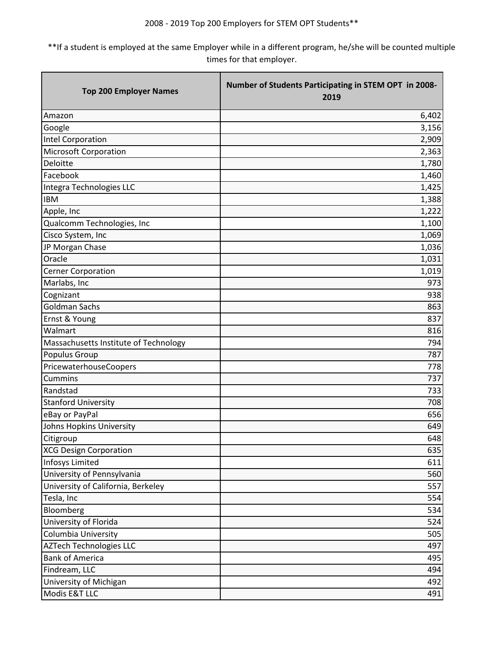| <b>Top 200 Employer Names</b>         | Number of Students Participating in STEM OPT in 2008-<br>2019 |
|---------------------------------------|---------------------------------------------------------------|
| Amazon                                | 6,402                                                         |
| Google                                | 3,156                                                         |
| Intel Corporation                     | 2,909                                                         |
| <b>Microsoft Corporation</b>          | 2,363                                                         |
| Deloitte                              | 1,780                                                         |
| Facebook                              | 1,460                                                         |
| Integra Technologies LLC              | 1,425                                                         |
| <b>IBM</b>                            | 1,388                                                         |
| Apple, Inc                            | 1,222                                                         |
| Qualcomm Technologies, Inc            | 1,100                                                         |
| Cisco System, Inc                     | 1,069                                                         |
| JP Morgan Chase                       | 1,036                                                         |
| Oracle                                | 1,031                                                         |
| <b>Cerner Corporation</b>             | 1,019                                                         |
| Marlabs, Inc                          | 973                                                           |
| Cognizant                             | 938                                                           |
| Goldman Sachs                         | 863                                                           |
| Ernst & Young                         | 837                                                           |
| Walmart                               | 816                                                           |
| Massachusetts Institute of Technology | 794                                                           |
| Populus Group                         | 787                                                           |
| PricewaterhouseCoopers                | 778                                                           |
| Cummins                               | 737                                                           |
| Randstad                              | 733                                                           |
| <b>Stanford University</b>            | 708                                                           |
| eBay or PayPal                        | 656                                                           |
| Johns Hopkins University              | 649                                                           |
| Citigroup                             | 648                                                           |
| <b>XCG Design Corporation</b>         | 635                                                           |
| <b>Infosys Limited</b>                | 611                                                           |
| University of Pennsylvania            | 560                                                           |
| University of California, Berkeley    | 557                                                           |
| Tesla, Inc                            | 554                                                           |
| Bloomberg                             | 534                                                           |
| University of Florida                 | 524                                                           |
| Columbia University                   | 505                                                           |
| <b>AZTech Technologies LLC</b>        | 497                                                           |
| <b>Bank of America</b>                | 495                                                           |
| Findream, LLC                         | 494                                                           |
| University of Michigan                | 492                                                           |
| Modis E&T LLC                         | 491                                                           |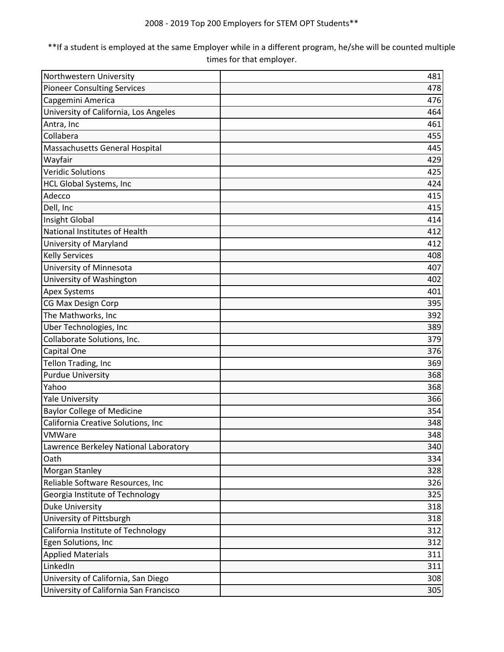| Northwestern University                | 481 |
|----------------------------------------|-----|
| <b>Pioneer Consulting Services</b>     | 478 |
| Capgemini America                      | 476 |
| University of California, Los Angeles  | 464 |
| Antra, Inc                             | 461 |
| Collabera                              | 455 |
| Massachusetts General Hospital         | 445 |
| Wayfair                                | 429 |
| <b>Veridic Solutions</b>               | 425 |
| HCL Global Systems, Inc                | 424 |
| Adecco                                 | 415 |
| Dell, Inc                              | 415 |
| <b>Insight Global</b>                  | 414 |
| National Institutes of Health          | 412 |
| University of Maryland                 | 412 |
| <b>Kelly Services</b>                  | 408 |
| University of Minnesota                | 407 |
| University of Washington               | 402 |
| <b>Apex Systems</b>                    | 401 |
| CG Max Design Corp                     | 395 |
| The Mathworks, Inc                     | 392 |
| Uber Technologies, Inc                 | 389 |
| Collaborate Solutions, Inc.            | 379 |
| Capital One                            | 376 |
| Tellon Trading, Inc                    | 369 |
| <b>Purdue University</b>               | 368 |
| Yahoo                                  | 368 |
| <b>Yale University</b>                 | 366 |
| <b>Baylor College of Medicine</b>      | 354 |
| California Creative Solutions, Inc     | 348 |
| VMWare                                 | 348 |
| Lawrence Berkeley National Laboratory  | 340 |
| Oath                                   | 334 |
| Morgan Stanley                         | 328 |
| Reliable Software Resources, Inc       | 326 |
| Georgia Institute of Technology        | 325 |
| <b>Duke University</b>                 | 318 |
| University of Pittsburgh               | 318 |
| California Institute of Technology     | 312 |
| Egen Solutions, Inc                    | 312 |
| <b>Applied Materials</b>               | 311 |
| LinkedIn                               | 311 |
| University of California, San Diego    | 308 |
| University of California San Francisco | 305 |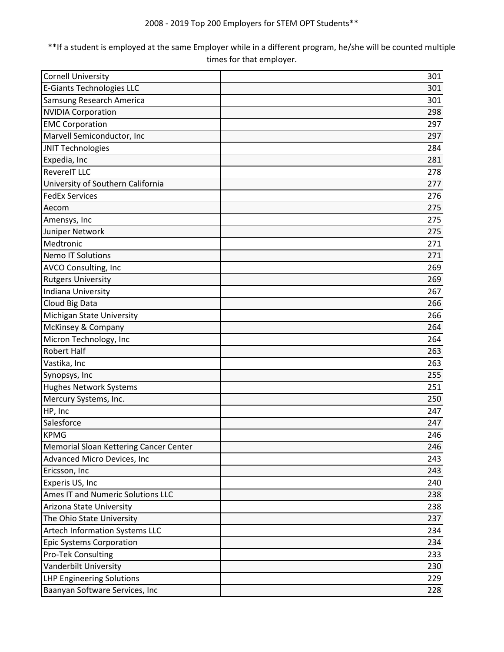| <b>Cornell University</b>              | 301 |
|----------------------------------------|-----|
| <b>E-Giants Technologies LLC</b>       | 301 |
| Samsung Research America               | 301 |
| <b>NVIDIA Corporation</b>              | 298 |
| <b>EMC Corporation</b>                 | 297 |
| Marvell Semiconductor, Inc             | 297 |
| <b>JNIT Technologies</b>               | 284 |
| Expedia, Inc                           | 281 |
| <b>RevereIT LLC</b>                    | 278 |
| University of Southern California      | 277 |
| <b>FedEx Services</b>                  | 276 |
| Aecom                                  | 275 |
| Amensys, Inc                           | 275 |
| Juniper Network                        | 275 |
| Medtronic                              | 271 |
| <b>Nemo IT Solutions</b>               | 271 |
| AVCO Consulting, Inc                   | 269 |
| <b>Rutgers University</b>              | 269 |
| Indiana University                     | 267 |
| Cloud Big Data                         | 266 |
| Michigan State University              | 266 |
| McKinsey & Company                     | 264 |
| Micron Technology, Inc                 | 264 |
| <b>Robert Half</b>                     | 263 |
| Vastika, Inc                           | 263 |
| Synopsys, Inc                          | 255 |
| <b>Hughes Network Systems</b>          | 251 |
| Mercury Systems, Inc.                  | 250 |
| HP, Inc                                | 247 |
| Salesforce                             | 247 |
| <b>KPMG</b>                            | 246 |
| Memorial Sloan Kettering Cancer Center | 246 |
| Advanced Micro Devices, Inc            | 243 |
| Ericsson, Inc                          | 243 |
| Experis US, Inc                        | 240 |
| Ames IT and Numeric Solutions LLC      | 238 |
| Arizona State University               | 238 |
| The Ohio State University              | 237 |
| Artech Information Systems LLC         | 234 |
| <b>Epic Systems Corporation</b>        | 234 |
| <b>Pro-Tek Consulting</b>              | 233 |
| Vanderbilt University                  | 230 |
| <b>LHP Engineering Solutions</b>       | 229 |
| Baanyan Software Services, Inc         | 228 |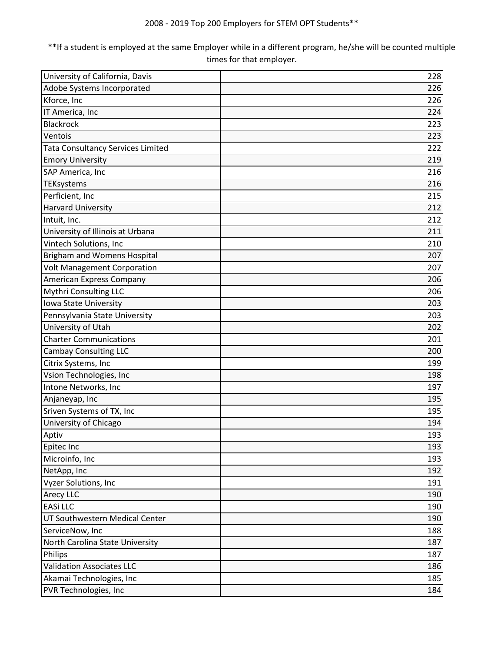| University of California, Davis          | 228 |
|------------------------------------------|-----|
| Adobe Systems Incorporated               | 226 |
| Kforce, Inc                              | 226 |
| IT America, Inc                          | 224 |
| <b>Blackrock</b>                         | 223 |
| Ventois                                  | 223 |
| <b>Tata Consultancy Services Limited</b> | 222 |
| <b>Emory University</b>                  | 219 |
| SAP America, Inc                         | 216 |
| TEKsystems                               | 216 |
| Perficient, Inc                          | 215 |
| <b>Harvard University</b>                | 212 |
| Intuit, Inc.                             | 212 |
| University of Illinois at Urbana         | 211 |
| Vintech Solutions, Inc                   | 210 |
| Brigham and Womens Hospital              | 207 |
| <b>Volt Management Corporation</b>       | 207 |
| American Express Company                 | 206 |
| Mythri Consulting LLC                    | 206 |
| Iowa State University                    | 203 |
| Pennsylvania State University            | 203 |
| University of Utah                       | 202 |
| <b>Charter Communications</b>            | 201 |
| <b>Cambay Consulting LLC</b>             | 200 |
| Citrix Systems, Inc                      | 199 |
| Vsion Technologies, Inc                  | 198 |
| Intone Networks, Inc                     | 197 |
| Anjaneyap, Inc                           | 195 |
| Sriven Systems of TX, Inc                | 195 |
| University of Chicago                    | 194 |
| Aptiv                                    | 193 |
| Epitec Inc                               | 193 |
| Microinfo, Inc                           | 193 |
| NetApp, Inc                              | 192 |
| Vyzer Solutions, Inc                     | 191 |
| Arecy LLC                                | 190 |
| <b>EASi LLC</b>                          | 190 |
| UT Southwestern Medical Center           | 190 |
| ServiceNow, Inc                          | 188 |
| North Carolina State University          | 187 |
| Philips                                  | 187 |
| <b>Validation Associates LLC</b>         | 186 |
| Akamai Technologies, Inc                 | 185 |
| PVR Technologies, Inc                    | 184 |